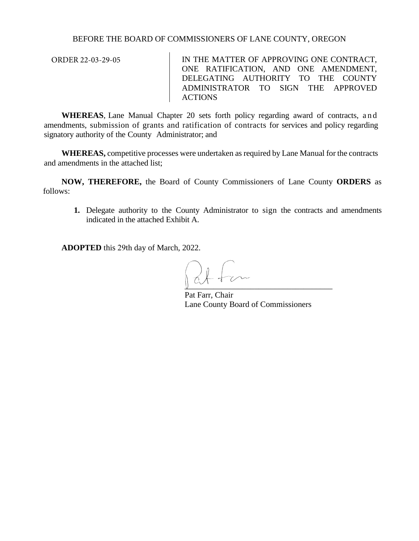## BEFORE THE BOARD OF COMMISSIONERS OF LANE COUNTY, OREGON

ORDER 22-03-29-05

IN THE MATTER OF APPROVING ONE CONTRACT, ONE RATIFICATION, AND ONE AMENDMENT, DELEGATING AUTHORITY TO THE COUNTY ADMINISTRATOR TO SIGN THE APPROVED ACTIONS

**WHEREAS**, Lane Manual Chapter 20 sets forth policy regarding award of contracts, and amendments, submission of grants and ratification of contracts for services and policy regarding signatory authority of the County Administrator; and

**WHEREAS,** competitive processes were undertaken as required by Lane Manual for the contracts and amendments in the attached list;

**NOW, THEREFORE,** the Board of County Commissioners of Lane County **ORDERS** as follows:

**1.** Delegate authority to the County Administrator to sign the contracts and amendments indicated in the attached Exhibit A.

**ADOPTED** this 29th day of March, 2022.

 $\mathbb{U}$  and  $\mathbb{U}$ 

Pat Farr, Chair Lane County Board of Commissioners